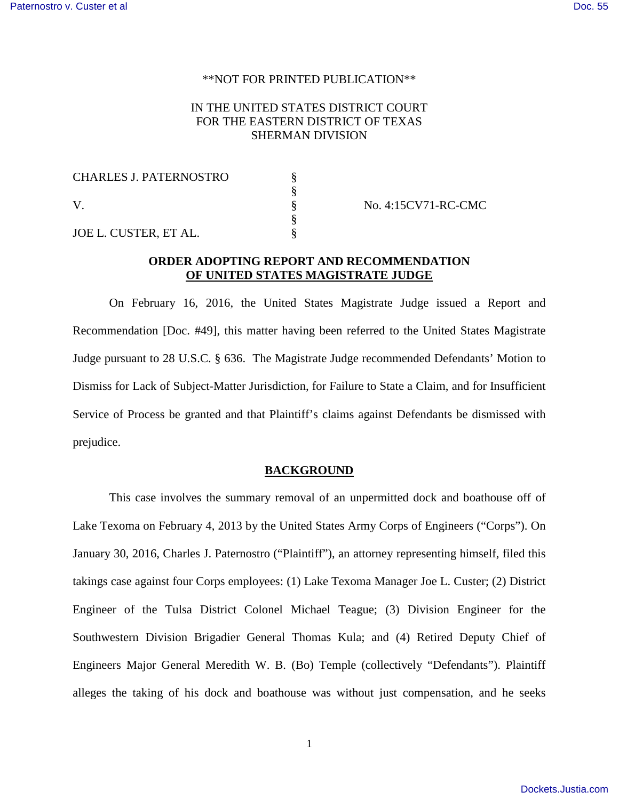#### \*\*NOT FOR PRINTED PUBLICATION\*\*

# IN THE UNITED STATES DISTRICT COURT FOR THE EASTERN DISTRICT OF TEXAS SHERMAN DIVISION

| <b>CHARLES J. PATERNOSTRO</b> |  |
|-------------------------------|--|
|                               |  |
|                               |  |
|                               |  |
| JOE L. CUSTER, ET AL.         |  |

No. 4:15CV71-RC-CMC

# **ORDER ADOPTING REPORT AND RECOMMENDATION OF UNITED STATES MAGISTRATE JUDGE**

On February 16, 2016, the United States Magistrate Judge issued a Report and Recommendation [Doc. #49], this matter having been referred to the United States Magistrate Judge pursuant to 28 U.S.C. § 636. The Magistrate Judge recommended Defendants' Motion to Dismiss for Lack of Subject-Matter Jurisdiction, for Failure to State a Claim, and for Insufficient Service of Process be granted and that Plaintiff's claims against Defendants be dismissed with prejudice.

### **BACKGROUND**

This case involves the summary removal of an unpermitted dock and boathouse off of Lake Texoma on February 4, 2013 by the United States Army Corps of Engineers ("Corps"). On January 30, 2016, Charles J. Paternostro ("Plaintiff"), an attorney representing himself, filed this takings case against four Corps employees: (1) Lake Texoma Manager Joe L. Custer; (2) District Engineer of the Tulsa District Colonel Michael Teague; (3) Division Engineer for the Southwestern Division Brigadier General Thomas Kula; and (4) Retired Deputy Chief of Engineers Major General Meredith W. B. (Bo) Temple (collectively "Defendants"). Plaintiff alleges the taking of his dock and boathouse was without just compensation, and he seeks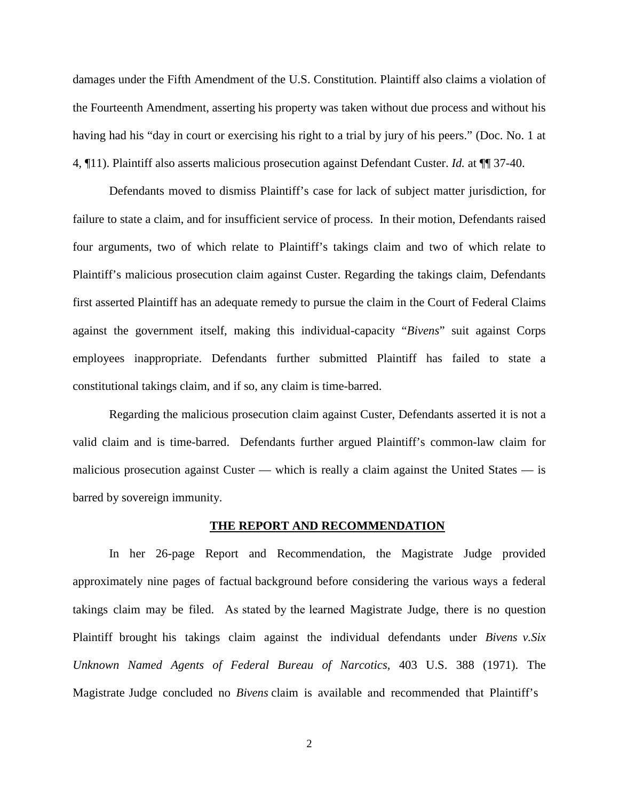damages under the Fifth Amendment of the U.S. Constitution. Plaintiff also claims a violation of the Fourteenth Amendment, asserting his property was taken without due process and without his having had his "day in court or exercising his right to a trial by jury of his peers." (Doc. No. 1 at 4, ¶11). Plaintiff also asserts malicious prosecution against Defendant Custer. *Id.* at ¶¶ 37-40.

Defendants moved to dismiss Plaintiff's case for lack of subject matter jurisdiction, for failure to state a claim, and for insufficient service of process. In their motion, Defendants raised four arguments, two of which relate to Plaintiff's takings claim and two of which relate to Plaintiff's malicious prosecution claim against Custer. Regarding the takings claim, Defendants first asserted Plaintiff has an adequate remedy to pursue the claim in the Court of Federal Claims against the government itself, making this individual-capacity "*Bivens*" suit against Corps employees inappropriate. Defendants further submitted Plaintiff has failed to state a constitutional takings claim, and if so, any claim is time-barred.

Regarding the malicious prosecution claim against Custer, Defendants asserted it is not a valid claim and is time-barred. Defendants further argued Plaintiff's common-law claim for malicious prosecution against Custer — which is really a claim against the United States — is barred by sovereign immunity.

#### **THE REPORT AND RECOMMENDATION**

In her 26-page Report and Recommendation, the Magistrate Judge provided approximately nine pages of factual background before considering the various ways a federal takings claim may be filed. As stated by the learned Magistrate Judge, there is no question Plaintiff brought his takings claim against the individual defendants under *Bivens v.Six Unknown Named Agents of Federal Bureau of Narcotics,* 403 U.S. 388 (1971). The Magistrate Judge concluded no *Bivens* claim is available and recommended that Plaintiff's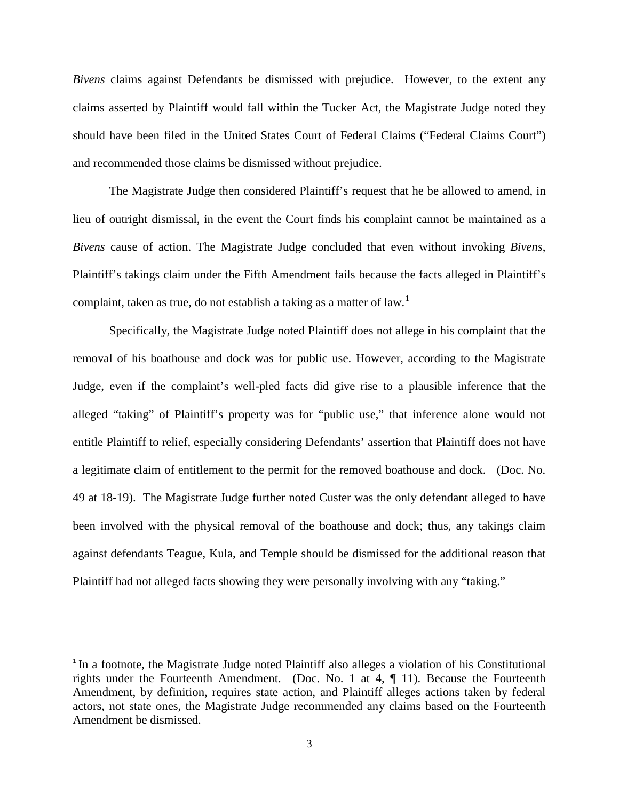*Bivens* claims against Defendants be dismissed with prejudice. However, to the extent any claims asserted by Plaintiff would fall within the Tucker Act, the Magistrate Judge noted they should have been filed in the United States Court of Federal Claims ("Federal Claims Court") and recommended those claims be dismissed without prejudice.

The Magistrate Judge then considered Plaintiff's request that he be allowed to amend, in lieu of outright dismissal, in the event the Court finds his complaint cannot be maintained as a *Bivens* cause of action. The Magistrate Judge concluded that even without invoking *Bivens*, Plaintiff's takings claim under the Fifth Amendment fails because the facts alleged in Plaintiff's complaint, taken as true, do not establish a taking as a matter of law.<sup>[1](#page-2-0)</sup>

Specifically, the Magistrate Judge noted Plaintiff does not allege in his complaint that the removal of his boathouse and dock was for public use. However, according to the Magistrate Judge, even if the complaint's well-pled facts did give rise to a plausible inference that the alleged "taking" of Plaintiff's property was for "public use," that inference alone would not entitle Plaintiff to relief, especially considering Defendants' assertion that Plaintiff does not have a legitimate claim of entitlement to the permit for the removed boathouse and dock. (Doc. No. 49 at 18-19). The Magistrate Judge further noted Custer was the only defendant alleged to have been involved with the physical removal of the boathouse and dock; thus, any takings claim against defendants Teague, Kula, and Temple should be dismissed for the additional reason that Plaintiff had not alleged facts showing they were personally involving with any "taking."

<span id="page-2-0"></span><sup>&</sup>lt;sup>1</sup> In a footnote, the Magistrate Judge noted Plaintiff also alleges a violation of his Constitutional rights under the Fourteenth Amendment. (Doc. No. 1 at 4, ¶ 11). Because the Fourteenth Amendment, by definition, requires state action, and Plaintiff alleges actions taken by federal actors, not state ones, the Magistrate Judge recommended any claims based on the Fourteenth Amendment be dismissed.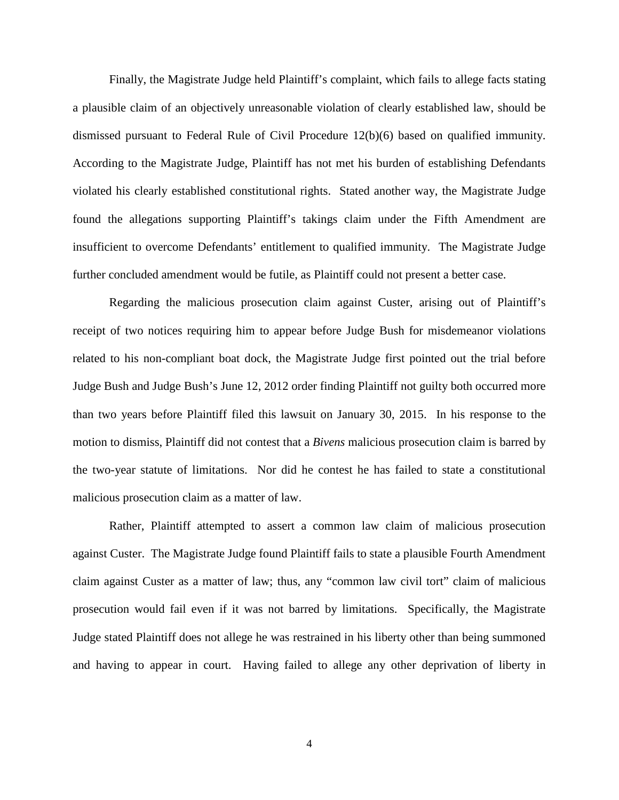Finally, the Magistrate Judge held Plaintiff's complaint, which fails to allege facts stating a plausible claim of an objectively unreasonable violation of clearly established law, should be dismissed pursuant to Federal Rule of Civil Procedure 12(b)(6) based on qualified immunity. According to the Magistrate Judge, Plaintiff has not met his burden of establishing Defendants violated his clearly established constitutional rights. Stated another way, the Magistrate Judge found the allegations supporting Plaintiff's takings claim under the Fifth Amendment are insufficient to overcome Defendants' entitlement to qualified immunity. The Magistrate Judge further concluded amendment would be futile, as Plaintiff could not present a better case.

Regarding the malicious prosecution claim against Custer, arising out of Plaintiff's receipt of two notices requiring him to appear before Judge Bush for misdemeanor violations related to his non-compliant boat dock, the Magistrate Judge first pointed out the trial before Judge Bush and Judge Bush's June 12, 2012 order finding Plaintiff not guilty both occurred more than two years before Plaintiff filed this lawsuit on January 30, 2015. In his response to the motion to dismiss, Plaintiff did not contest that a *Bivens* malicious prosecution claim is barred by the two-year statute of limitations. Nor did he contest he has failed to state a constitutional malicious prosecution claim as a matter of law.

Rather, Plaintiff attempted to assert a common law claim of malicious prosecution against Custer. The Magistrate Judge found Plaintiff fails to state a plausible Fourth Amendment claim against Custer as a matter of law; thus, any "common law civil tort" claim of malicious prosecution would fail even if it was not barred by limitations. Specifically, the Magistrate Judge stated Plaintiff does not allege he was restrained in his liberty other than being summoned and having to appear in court. Having failed to allege any other deprivation of liberty in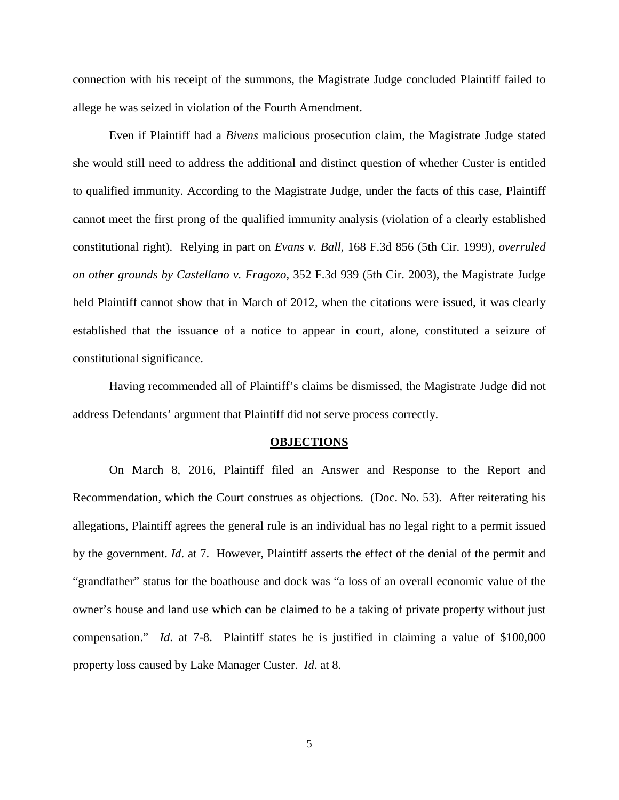connection with his receipt of the summons, the Magistrate Judge concluded Plaintiff failed to allege he was seized in violation of the Fourth Amendment.

Even if Plaintiff had a *Bivens* malicious prosecution claim, the Magistrate Judge stated she would still need to address the additional and distinct question of whether Custer is entitled to qualified immunity. According to the Magistrate Judge, under the facts of this case, Plaintiff cannot meet the first prong of the qualified immunity analysis (violation of a clearly established constitutional right). Relying in part on *Evans v. Ball*, 168 F.3d 856 (5th Cir. 1999), *overruled on other grounds by Castellano v. Fragozo*, 352 F.3d 939 (5th Cir. 2003), the Magistrate Judge held Plaintiff cannot show that in March of 2012, when the citations were issued, it was clearly established that the issuance of a notice to appear in court, alone, constituted a seizure of constitutional significance.

Having recommended all of Plaintiff's claims be dismissed, the Magistrate Judge did not address Defendants' argument that Plaintiff did not serve process correctly.

#### **OBJECTIONS**

On March 8, 2016, Plaintiff filed an Answer and Response to the Report and Recommendation, which the Court construes as objections. (Doc. No. 53). After reiterating his allegations, Plaintiff agrees the general rule is an individual has no legal right to a permit issued by the government. *Id*. at 7. However, Plaintiff asserts the effect of the denial of the permit and "grandfather" status for the boathouse and dock was "a loss of an overall economic value of the owner's house and land use which can be claimed to be a taking of private property without just compensation." *Id*. at 7-8. Plaintiff states he is justified in claiming a value of \$100,000 property loss caused by Lake Manager Custer. *Id*. at 8.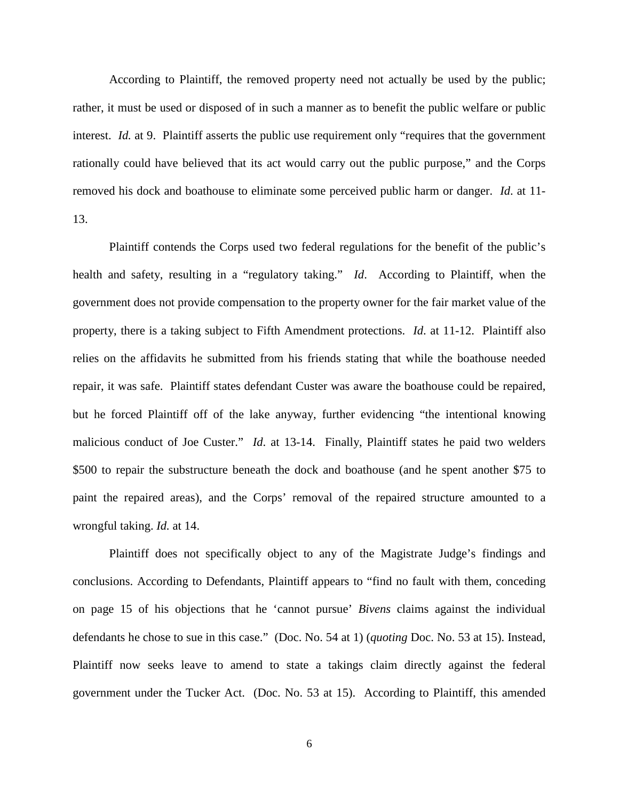According to Plaintiff, the removed property need not actually be used by the public; rather, it must be used or disposed of in such a manner as to benefit the public welfare or public interest. *Id.* at 9. Plaintiff asserts the public use requirement only "requires that the government rationally could have believed that its act would carry out the public purpose," and the Corps removed his dock and boathouse to eliminate some perceived public harm or danger. *Id*. at 11- 13.

Plaintiff contends the Corps used two federal regulations for the benefit of the public's health and safety, resulting in a "regulatory taking." *Id*. According to Plaintiff, when the government does not provide compensation to the property owner for the fair market value of the property, there is a taking subject to Fifth Amendment protections. *Id*. at 11-12. Plaintiff also relies on the affidavits he submitted from his friends stating that while the boathouse needed repair, it was safe. Plaintiff states defendant Custer was aware the boathouse could be repaired, but he forced Plaintiff off of the lake anyway, further evidencing "the intentional knowing malicious conduct of Joe Custer." *Id*. at 13-14. Finally, Plaintiff states he paid two welders \$500 to repair the substructure beneath the dock and boathouse (and he spent another \$75 to paint the repaired areas), and the Corps' removal of the repaired structure amounted to a wrongful taking. *Id.* at 14.

Plaintiff does not specifically object to any of the Magistrate Judge's findings and conclusions. According to Defendants, Plaintiff appears to "find no fault with them, conceding on page 15 of his objections that he 'cannot pursue' *Bivens* claims against the individual defendants he chose to sue in this case." (Doc. No. 54 at 1) (*quoting* Doc. No. 53 at 15). Instead, Plaintiff now seeks leave to amend to state a takings claim directly against the federal government under the Tucker Act. (Doc. No. 53 at 15). According to Plaintiff, this amended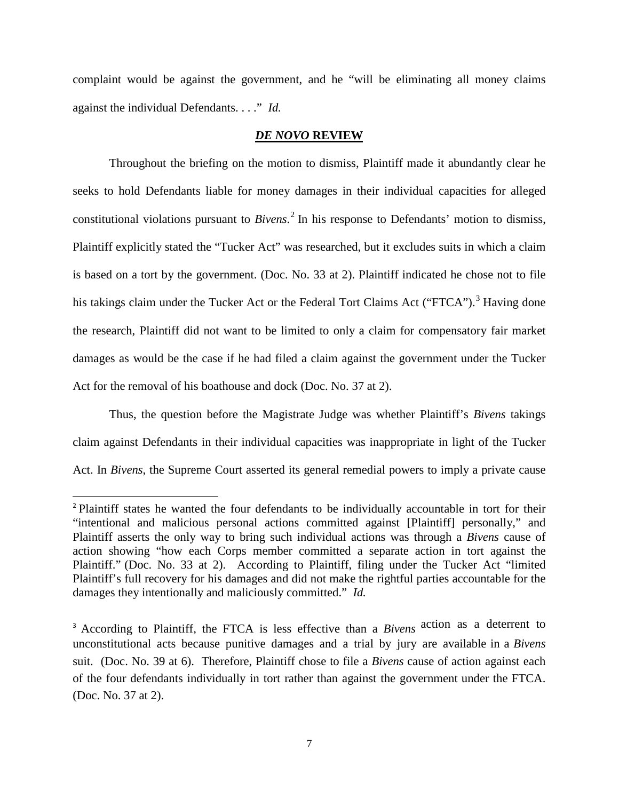complaint would be against the government, and he "will be eliminating all money claims against the individual Defendants. . . ." *Id.*

## *DE NOVO* **REVIEW**

Throughout the briefing on the motion to dismiss, Plaintiff made it abundantly clear he seeks to hold Defendants liable for money damages in their individual capacities for alleged constitutional violations pursuant to *Bivens*. [2](#page-6-0) In his response to Defendants' motion to dismiss, Plaintiff explicitly stated the "Tucker Act" was researched, but it excludes suits in which a claim is based on a tort by the government. (Doc. No. 33 at 2). Plaintiff indicated he chose not to file his takings claim under the Tucker Act or the Federal Tort Claims Act ("FTCA").<sup>[3](#page-6-1)</sup> Having done the research, Plaintiff did not want to be limited to only a claim for compensatory fair market damages as would be the case if he had filed a claim against the government under the Tucker Act for the removal of his boathouse and dock (Doc. No. 37 at 2).

Thus, the question before the Magistrate Judge was whether Plaintiff's *Bivens* takings claim against Defendants in their individual capacities was inappropriate in light of the Tucker Act. In *Bivens*, the Supreme Court asserted its general remedial powers to imply a private cause

<span id="page-6-0"></span><sup>&</sup>lt;sup>2</sup> Plaintiff states he wanted the four defendants to be individually accountable in tort for their "intentional and malicious personal actions committed against [Plaintiff] personally," and Plaintiff asserts the only way to bring such individual actions was through a *Bivens* cause of action showing "how each Corps member committed a separate action in tort against the Plaintiff." (Doc. No. 33 at 2). According to Plaintiff, filing under the Tucker Act "limited Plaintiff's full recovery for his damages and did not make the rightful parties accountable for the damages they intentionally and maliciously committed." *Id.*

<span id="page-6-1"></span><sup>3</sup> According to Plaintiff, the FTCA is less effective than a *Bivens* action as a deterrent to unconstitutional acts because punitive damages and a trial by jury are available in a *Bivens* suit. (Doc. No. 39 at 6). Therefore, Plaintiff chose to file a *Bivens* cause of action against each of the four defendants individually in tort rather than against the government under the FTCA. (Doc. No. 37 at 2).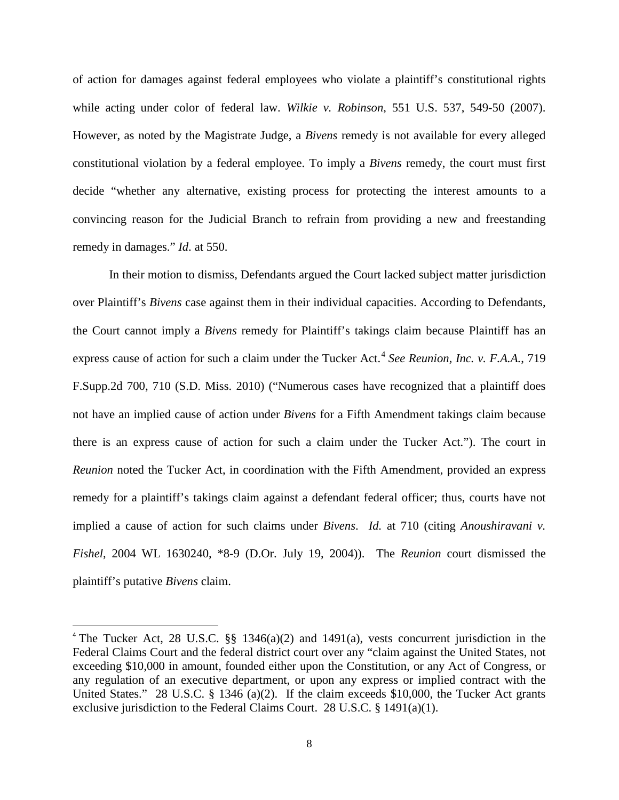of action for damages against federal employees who violate a plaintiff's constitutional rights while acting under color of federal law. *Wilkie v. Robinson*, 551 U.S. 537, 549-50 (2007). However, as noted by the Magistrate Judge, a *Bivens* remedy is not available for every alleged constitutional violation by a federal employee. To imply a *Bivens* remedy, the court must first decide "whether any alternative, existing process for protecting the interest amounts to a convincing reason for the Judicial Branch to refrain from providing a new and freestanding remedy in damages." *Id*. at 550.

In their motion to dismiss, Defendants argued the Court lacked subject matter jurisdiction over Plaintiff's *Bivens* case against them in their individual capacities. According to Defendants, the Court cannot imply a *Bivens* remedy for Plaintiff's takings claim because Plaintiff has an express cause of action for such a claim under the Tucker Act.<sup>[4](#page-7-0)</sup> See Reunion, Inc. v. F.A.A., 719 F.Supp.2d 700, 710 (S.D. Miss. 2010) ("Numerous cases have recognized that a plaintiff does not have an implied cause of action under *Bivens* for a Fifth Amendment takings claim because there is an express cause of action for such a claim under the Tucker Act."). The court in *Reunion* noted the Tucker Act, in coordination with the Fifth Amendment, provided an express remedy for a plaintiff's takings claim against a defendant federal officer; thus, courts have not implied a cause of action for such claims under *Bivens*. *Id.* at 710 (citing *Anoushiravani v. Fishel*, 2004 WL 1630240, \*8-9 (D.Or. July 19, 2004)). The *Reunion* court dismissed the plaintiff's putative *Bivens* claim.

<span id="page-7-0"></span><sup>&</sup>lt;sup>4</sup> The Tucker Act, 28 U.S.C.  $\S$  1346(a)(2) and 1491(a), vests concurrent jurisdiction in the Federal Claims Court and the federal district court over any "claim against the United States, not exceeding \$10,000 in amount, founded either upon the Constitution, or any Act of Congress, or any regulation of an executive department, or upon any express or implied contract with the United States." 28 U.S.C. § 1346 (a)(2). If the claim exceeds \$10,000, the Tucker Act grants exclusive jurisdiction to the Federal Claims Court. 28 U.S.C. § 1491(a)(1).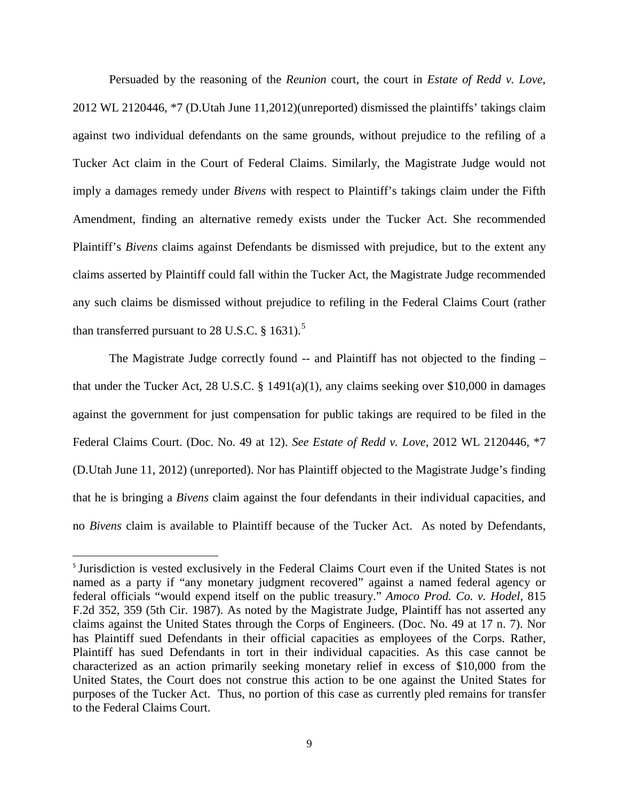Persuaded by the reasoning of the *Reunion* court, the court in *Estate of Redd v. Love*, 2012 WL 2120446, \*7 (D.Utah June 11,2012)(unreported) dismissed the plaintiffs' takings claim against two individual defendants on the same grounds, without prejudice to the refiling of a Tucker Act claim in the Court of Federal Claims. Similarly, the Magistrate Judge would not imply a damages remedy under *Bivens* with respect to Plaintiff's takings claim under the Fifth Amendment, finding an alternative remedy exists under the Tucker Act. She recommended Plaintiff's *Bivens* claims against Defendants be dismissed with prejudice, but to the extent any claims asserted by Plaintiff could fall within the Tucker Act, the Magistrate Judge recommended any such claims be dismissed without prejudice to refiling in the Federal Claims Court (rather than transferred pursuant to 28 U.S.C.  $§$  1631).<sup>[5](#page-8-0)</sup>

The Magistrate Judge correctly found -- and Plaintiff has not objected to the finding – that under the Tucker Act, 28 U.S.C. § 1491(a)(1), any claims seeking over \$10,000 in damages against the government for just compensation for public takings are required to be filed in the Federal Claims Court. (Doc. No. 49 at 12). *See Estate of Redd v. Love*, 2012 WL 2120446, \*7 (D.Utah June 11, 2012) (unreported). Nor has Plaintiff objected to the Magistrate Judge's finding that he is bringing a *Bivens* claim against the four defendants in their individual capacities, and no *Bivens* claim is available to Plaintiff because of the Tucker Act. As noted by Defendants,

<span id="page-8-0"></span><sup>&</sup>lt;sup>5</sup> Jurisdiction is vested exclusively in the Federal Claims Court even if the United States is not named as a party if "any monetary judgment recovered" against a named federal agency or federal officials "would expend itself on the public treasury." *Amoco Prod. Co. v. Hodel*, 815 F.2d 352, 359 (5th Cir. 1987). As noted by the Magistrate Judge, Plaintiff has not asserted any claims against the United States through the Corps of Engineers. (Doc. No. 49 at 17 n. 7). Nor has Plaintiff sued Defendants in their official capacities as employees of the Corps. Rather, Plaintiff has sued Defendants in tort in their individual capacities. As this case cannot be characterized as an action primarily seeking monetary relief in excess of \$10,000 from the United States, the Court does not construe this action to be one against the United States for purposes of the Tucker Act. Thus, no portion of this case as currently pled remains for transfer to the Federal Claims Court.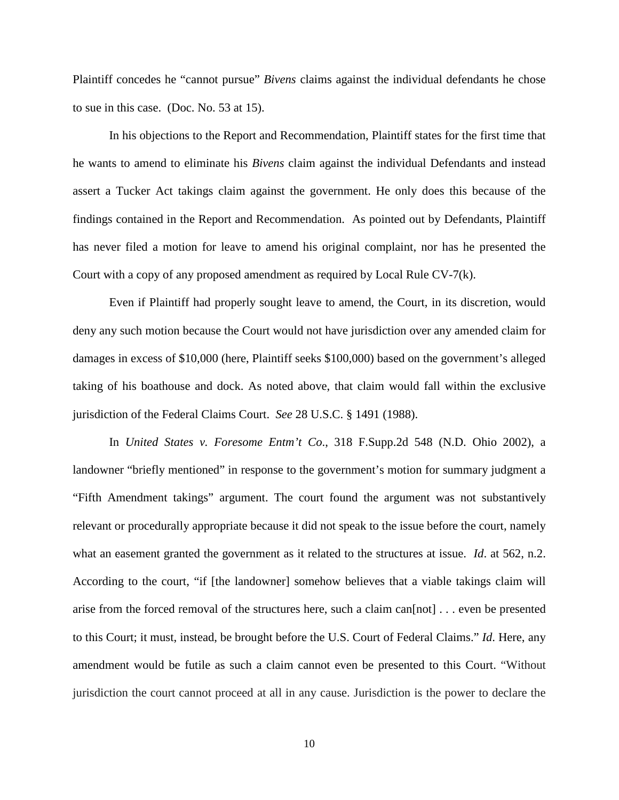Plaintiff concedes he "cannot pursue" *Bivens* claims against the individual defendants he chose to sue in this case. (Doc. No. 53 at 15).

In his objections to the Report and Recommendation, Plaintiff states for the first time that he wants to amend to eliminate his *Bivens* claim against the individual Defendants and instead assert a Tucker Act takings claim against the government. He only does this because of the findings contained in the Report and Recommendation. As pointed out by Defendants, Plaintiff has never filed a motion for leave to amend his original complaint, nor has he presented the Court with a copy of any proposed amendment as required by Local Rule CV-7(k).

Even if Plaintiff had properly sought leave to amend, the Court, in its discretion, would deny any such motion because the Court would not have jurisdiction over any amended claim for damages in excess of \$10,000 (here, Plaintiff seeks \$100,000) based on the government's alleged taking of his boathouse and dock. As noted above, that claim would fall within the exclusive jurisdiction of the Federal Claims Court. *See* 28 U.S.C. § 1491 (1988).

In *United States v. Foresome Entm't Co*., 318 F.Supp.2d 548 (N.D. Ohio 2002), a landowner "briefly mentioned" in response to the government's motion for summary judgment a "Fifth Amendment takings" argument. The court found the argument was not substantively relevant or procedurally appropriate because it did not speak to the issue before the court, namely what an easement granted the government as it related to the structures at issue. *Id*. at 562, n.2. According to the court, "if [the landowner] somehow believes that a viable takings claim will arise from the forced removal of the structures here, such a claim can[not] . . . even be presented to this Court; it must, instead, be brought before the U.S. Court of Federal Claims." *Id*. Here, any amendment would be futile as such a claim cannot even be presented to this Court. "Without jurisdiction the court cannot proceed at all in any cause. Jurisdiction is the power to declare the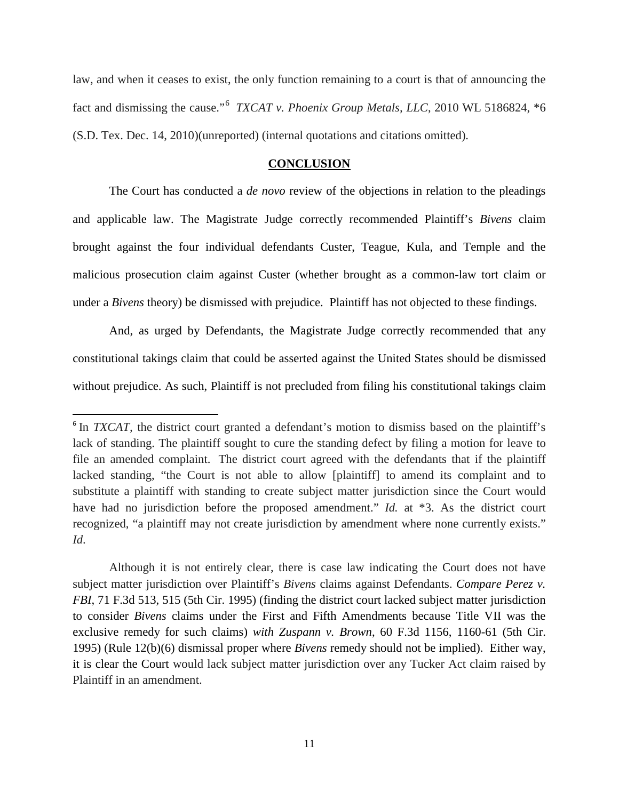law, and when it ceases to exist, the only function remaining to a court is that of announcing the fact and dismissing the cause."<sup>[6](#page-10-0)</sup> *TXCAT v. Phoenix Group Metals, LLC*, 2010 WL 5186824, \*6 (S.D. Tex. Dec. 14, 2010)(unreported) (internal quotations and citations omitted).

### **CONCLUSION**

The Court has conducted a *de novo* review of the objections in relation to the pleadings and applicable law. The Magistrate Judge correctly recommended Plaintiff's *Bivens* claim brought against the four individual defendants Custer, Teague, Kula, and Temple and the malicious prosecution claim against Custer (whether brought as a common-law tort claim or under a *Bivens* theory) be dismissed with prejudice. Plaintiff has not objected to these findings.

And, as urged by Defendants, the Magistrate Judge correctly recommended that any constitutional takings claim that could be asserted against the United States should be dismissed without prejudice. As such, Plaintiff is not precluded from filing his constitutional takings claim

Although it is not entirely clear, there is case law indicating the Court does not have subject matter jurisdiction over Plaintiff's *Bivens* claims against Defendants. *Compare Perez v. FBI*, 71 F.3d 513, 515 (5th Cir. 1995) (finding the district court lacked subject matter jurisdiction to consider *Bivens* claims under the First and Fifth Amendments because Title VII was the exclusive remedy for such claims) *with Zuspann v. Brown*, 60 F.3d 1156, 1160-61 (5th Cir. 1995) (Rule 12(b)(6) dismissal proper where *Bivens* remedy should not be implied). Either way, it is clear the Court would lack subject matter jurisdiction over any Tucker Act claim raised by Plaintiff in an amendment.

<span id="page-10-0"></span><sup>&</sup>lt;sup>6</sup> In *TXCAT*, the district court granted a defendant's motion to dismiss based on the plaintiff's lack of standing. The plaintiff sought to cure the standing defect by filing a motion for leave to file an amended complaint. The district court agreed with the defendants that if the plaintiff lacked standing, "the Court is not able to allow [plaintiff] to amend its complaint and to substitute a plaintiff with standing to create subject matter jurisdiction since the Court would have had no jurisdiction before the proposed amendment." *Id.* at \*3. As the district court recognized, "a plaintiff may not create jurisdiction by amendment where none currently exists." *Id*.